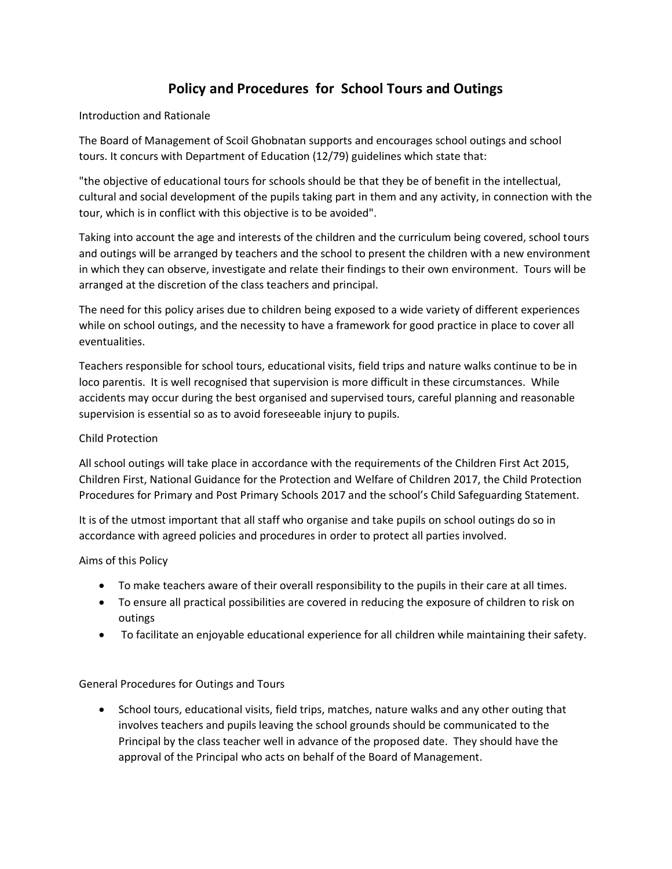# **Policy and Procedures for School Tours and Outings**

## Introduction and Rationale

The Board of Management of Scoil Ghobnatan supports and encourages school outings and school tours. It concurs with Department of Education (12/79) guidelines which state that:

"the objective of educational tours for schools should be that they be of benefit in the intellectual, cultural and social development of the pupils taking part in them and any activity, in connection with the tour, which is in conflict with this objective is to be avoided".

Taking into account the age and interests of the children and the curriculum being covered, school tours and outings will be arranged by teachers and the school to present the children with a new environment in which they can observe, investigate and relate their findings to their own environment. Tours will be arranged at the discretion of the class teachers and principal.

The need for this policy arises due to children being exposed to a wide variety of different experiences while on school outings, and the necessity to have a framework for good practice in place to cover all eventualities.

Teachers responsible for school tours, educational visits, field trips and nature walks continue to be in loco parentis. It is well recognised that supervision is more difficult in these circumstances. While accidents may occur during the best organised and supervised tours, careful planning and reasonable supervision is essential so as to avoid foreseeable injury to pupils.

## Child Protection

All school outings will take place in accordance with the requirements of the Children First Act 2015, Children First, National Guidance for the Protection and Welfare of Children 2017, the Child Protection Procedures for Primary and Post Primary Schools 2017 and the school's Child Safeguarding Statement.

It is of the utmost important that all staff who organise and take pupils on school outings do so in accordance with agreed policies and procedures in order to protect all parties involved.

### Aims of this Policy

- To make teachers aware of their overall responsibility to the pupils in their care at all times.
- To ensure all practical possibilities are covered in reducing the exposure of children to risk on outings
- To facilitate an enjoyable educational experience for all children while maintaining their safety.

### General Procedures for Outings and Tours

• School tours, educational visits, field trips, matches, nature walks and any other outing that involves teachers and pupils leaving the school grounds should be communicated to the Principal by the class teacher well in advance of the proposed date. They should have the approval of the Principal who acts on behalf of the Board of Management.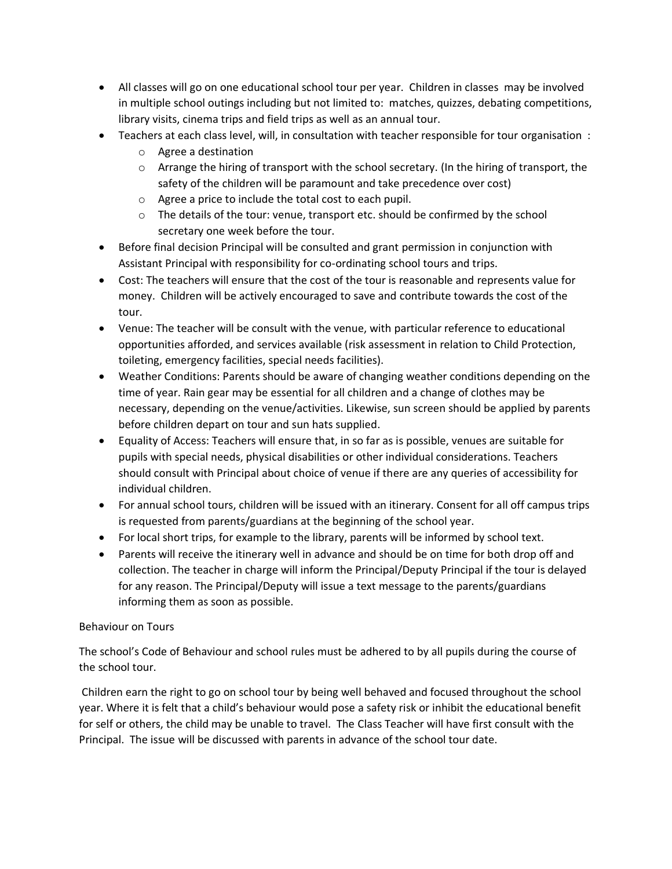- All classes will go on one educational school tour per year. Children in classes may be involved in multiple school outings including but not limited to: matches, quizzes, debating competitions, library visits, cinema trips and field trips as well as an annual tour.
- Teachers at each class level, will, in consultation with teacher responsible for tour organisation :
	- o Agree a destination
	- $\circ$  Arrange the hiring of transport with the school secretary. (In the hiring of transport, the safety of the children will be paramount and take precedence over cost)
	- o Agree a price to include the total cost to each pupil.
	- $\circ$  The details of the tour: venue, transport etc. should be confirmed by the school secretary one week before the tour.
- Before final decision Principal will be consulted and grant permission in conjunction with Assistant Principal with responsibility for co-ordinating school tours and trips.
- Cost: The teachers will ensure that the cost of the tour is reasonable and represents value for money. Children will be actively encouraged to save and contribute towards the cost of the tour.
- Venue: The teacher will be consult with the venue, with particular reference to educational opportunities afforded, and services available (risk assessment in relation to Child Protection, toileting, emergency facilities, special needs facilities).
- Weather Conditions: Parents should be aware of changing weather conditions depending on the time of year. Rain gear may be essential for all children and a change of clothes may be necessary, depending on the venue/activities. Likewise, sun screen should be applied by parents before children depart on tour and sun hats supplied.
- Equality of Access: Teachers will ensure that, in so far as is possible, venues are suitable for pupils with special needs, physical disabilities or other individual considerations. Teachers should consult with Principal about choice of venue if there are any queries of accessibility for individual children.
- For annual school tours, children will be issued with an itinerary. Consent for all off campus trips is requested from parents/guardians at the beginning of the school year.
- For local short trips, for example to the library, parents will be informed by school text.
- Parents will receive the itinerary well in advance and should be on time for both drop off and collection. The teacher in charge will inform the Principal/Deputy Principal if the tour is delayed for any reason. The Principal/Deputy will issue a text message to the parents/guardians informing them as soon as possible.

# Behaviour on Tours

The school's Code of Behaviour and school rules must be adhered to by all pupils during the course of the school tour.

Children earn the right to go on school tour by being well behaved and focused throughout the school year. Where it is felt that a child's behaviour would pose a safety risk or inhibit the educational benefit for self or others, the child may be unable to travel. The Class Teacher will have first consult with the Principal. The issue will be discussed with parents in advance of the school tour date.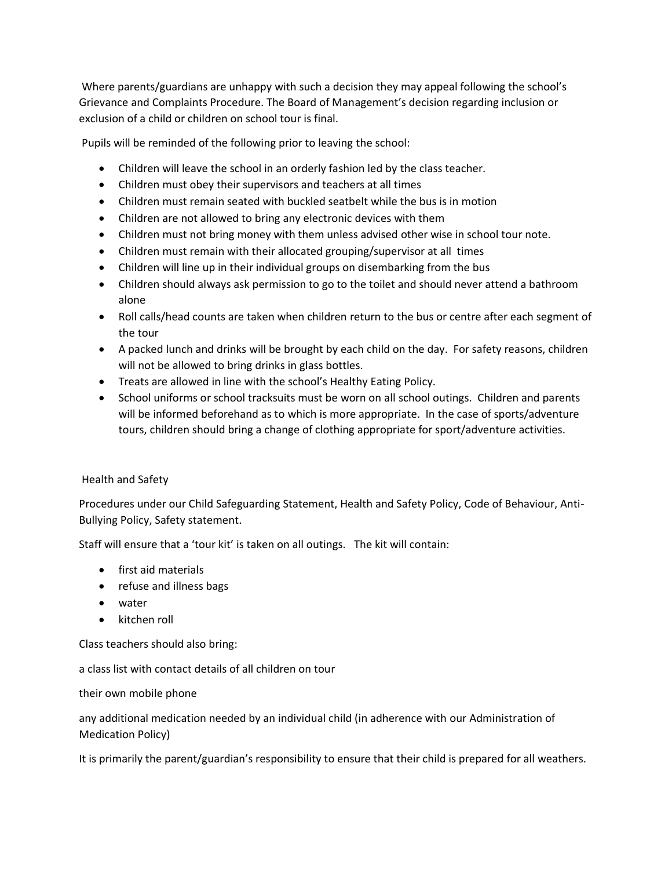Where parents/guardians are unhappy with such a decision they may appeal following the school's Grievance and Complaints Procedure. The Board of Management's decision regarding inclusion or exclusion of a child or children on school tour is final.

Pupils will be reminded of the following prior to leaving the school:

- Children will leave the school in an orderly fashion led by the class teacher.
- Children must obey their supervisors and teachers at all times
- Children must remain seated with buckled seatbelt while the bus is in motion
- Children are not allowed to bring any electronic devices with them
- Children must not bring money with them unless advised other wise in school tour note.
- Children must remain with their allocated grouping/supervisor at all times
- Children will line up in their individual groups on disembarking from the bus
- Children should always ask permission to go to the toilet and should never attend a bathroom alone
- Roll calls/head counts are taken when children return to the bus or centre after each segment of the tour
- A packed lunch and drinks will be brought by each child on the day. For safety reasons, children will not be allowed to bring drinks in glass bottles.
- Treats are allowed in line with the school's Healthy Eating Policy.
- School uniforms or school tracksuits must be worn on all school outings. Children and parents will be informed beforehand as to which is more appropriate. In the case of sports/adventure tours, children should bring a change of clothing appropriate for sport/adventure activities.

# Health and Safety

Procedures under our Child Safeguarding Statement, Health and Safety Policy, Code of Behaviour, Anti-Bullying Policy, Safety statement.

Staff will ensure that a 'tour kit' is taken on all outings. The kit will contain:

- first aid materials
- refuse and illness bags
- water
- kitchen roll

Class teachers should also bring:

a class list with contact details of all children on tour

their own mobile phone

any additional medication needed by an individual child (in adherence with our Administration of Medication Policy)

It is primarily the parent/guardian's responsibility to ensure that their child is prepared for all weathers.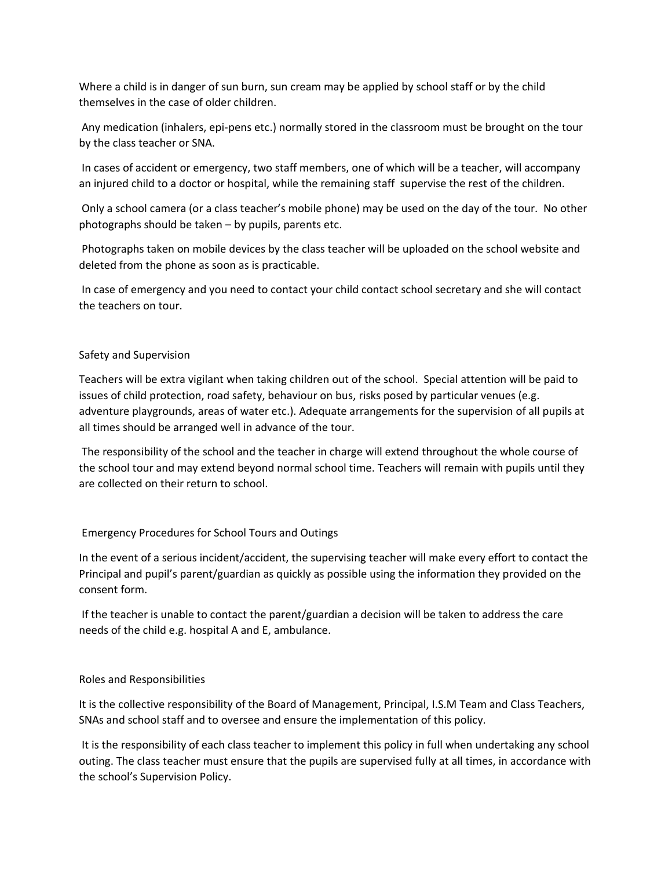Where a child is in danger of sun burn, sun cream may be applied by school staff or by the child themselves in the case of older children.

Any medication (inhalers, epi-pens etc.) normally stored in the classroom must be brought on the tour by the class teacher or SNA.

In cases of accident or emergency, two staff members, one of which will be a teacher, will accompany an injured child to a doctor or hospital, while the remaining staff supervise the rest of the children.

Only a school camera (or a class teacher's mobile phone) may be used on the day of the tour. No other photographs should be taken – by pupils, parents etc.

Photographs taken on mobile devices by the class teacher will be uploaded on the school website and deleted from the phone as soon as is practicable.

In case of emergency and you need to contact your child contact school secretary and she will contact the teachers on tour.

## Safety and Supervision

Teachers will be extra vigilant when taking children out of the school. Special attention will be paid to issues of child protection, road safety, behaviour on bus, risks posed by particular venues (e.g. adventure playgrounds, areas of water etc.). Adequate arrangements for the supervision of all pupils at all times should be arranged well in advance of the tour.

The responsibility of the school and the teacher in charge will extend throughout the whole course of the school tour and may extend beyond normal school time. Teachers will remain with pupils until they are collected on their return to school.

# Emergency Procedures for School Tours and Outings

In the event of a serious incident/accident, the supervising teacher will make every effort to contact the Principal and pupil's parent/guardian as quickly as possible using the information they provided on the consent form.

If the teacher is unable to contact the parent/guardian a decision will be taken to address the care needs of the child e.g. hospital A and E, ambulance.

### Roles and Responsibilities

It is the collective responsibility of the Board of Management, Principal, I.S.M Team and Class Teachers, SNAs and school staff and to oversee and ensure the implementation of this policy.

It is the responsibility of each class teacher to implement this policy in full when undertaking any school outing. The class teacher must ensure that the pupils are supervised fully at all times, in accordance with the school's Supervision Policy.